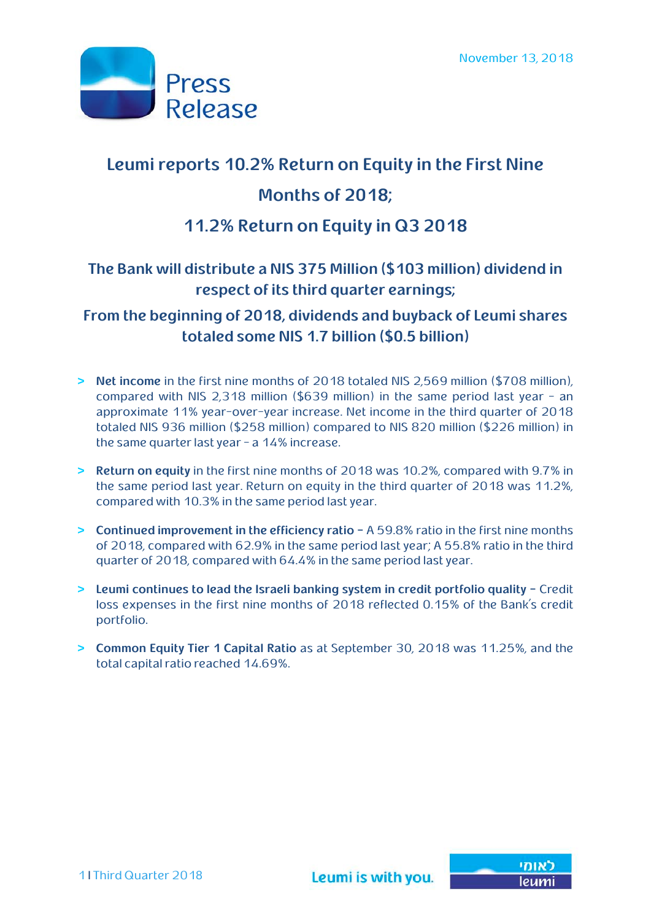

# **Leumi reports 10.2% Return on Equity in the First Nine Months of 2018;**

## **11.2% Return on Equity in Q3 2018**

## **The Bank will distribute a NIS 375 Million (\$103 million) dividend in respect of its third quarter earnings;**

## **From the beginning of 2018, dividends and buyback of Leumi shares totaled some NIS 1.7 billion (\$0.5 billion)**

- **> Net income** in the first nine months of 2018 totaled NIS 2,569 million (\$708 million), compared with NIS 2,318 million (\$639 million) in the same period last year - an approximate 11% year-over-year increase. Net income in the third quarter of 2018 totaled NIS 936 million (\$258 million) compared to NIS 820 million (\$226 million) in the same quarter last year - a 14% increase.
- **> Return on equity** in the first nine months of 2018 was 10.2%, compared with 9.7% in the same period last year. Return on equity in the third quarter of 2018 was 11.2%, compared with 10.3% in the same period last year.
- **> Continued improvement in the efficiency ratio –** A 59.8% ratio in the first nine months of 2018, compared with 62.9% in the same period last year; A 55.8% ratio in the third quarter of 2018, compared with 64.4% in the same period last year.
- **> Leumi continues to lead the Israeli banking system in credit portfolio quality –** Credit loss expenses in the first nine months of 2018 reflected 0.15% of the Bank's credit portfolio.
- **> Common Equity Tier 1 Capital Ratio** as at September 30, 2018 was 11.25%, and the total capital ratio reached 14.69%.

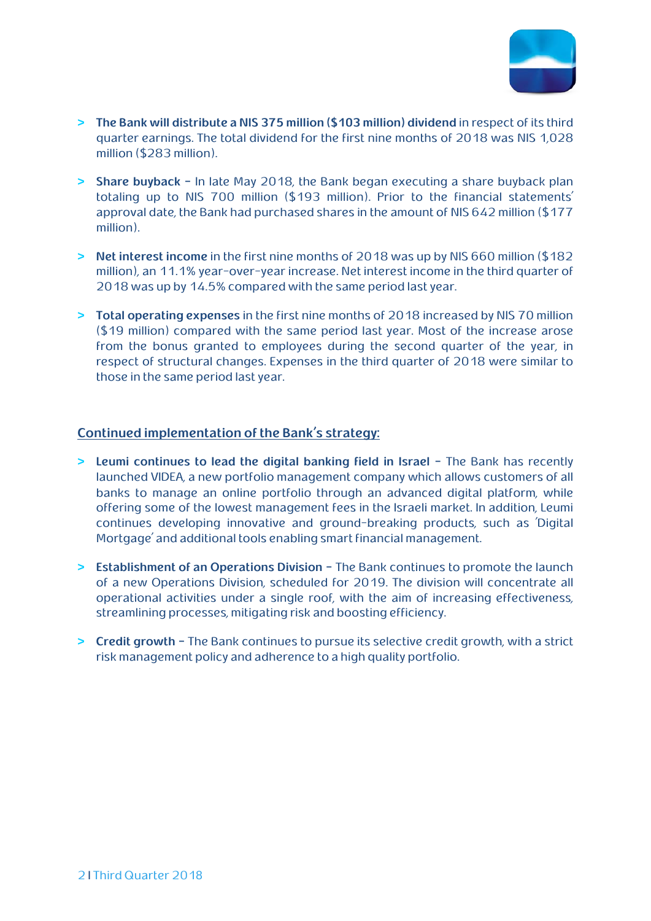

- **> The Bank will distribute a NIS 375 million (\$103 million) dividend** in respect of its third quarter earnings. The total dividend for the first nine months of 2018 was NIS 1,028 million (\$283 million).
- **> Share buyback -** In late May 2018, the Bank began executing a share buyback plan totaling up to NIS 700 million (\$193 million). Prior to the financial statements' approval date, the Bank had purchased shares in the amount of NIS 642 million (\$177 million).
- **> Net interest income** in the first nine months of 2018 was up by NIS 660 million (\$182 million), an 11.1% year-over-year increase. Net interest income in the third quarter of 2018 was up by 14.5% compared with the same period last year.
- **> Total operating expenses** in the first nine months of 2018 increased by NIS 70 million (\$19 million) compared with the same period last year. Most of the increase arose from the bonus granted to employees during the second quarter of the year, in respect of structural changes. Expenses in the third quarter of 2018 were similar to those in the same period last year.

#### *<sup>U</sup>***Continued implementation of the Bank's strategy:**

- **> Leumi continues to lead the digital banking field in Israel -** The Bank has recently launched VIDEA, a new portfolio management company which allows customers of all banks to manage an online portfolio through an advanced digital platform, while offering some of the lowest management fees in the Israeli market. In addition, Leumi continues developing innovative and ground-breaking products, such as 'Digital Mortgage' and additional tools enabling smart financial management.
- **> Establishment of an Operations Division -** The Bank continues to promote the launch of a new Operations Division, scheduled for 2019. The division will concentrate all operational activities under a single roof, with the aim of increasing effectiveness, streamlining processes, mitigating risk and boosting efficiency.
- **> Credit growth -** The Bank continues to pursue its selective credit growth, with a strict risk management policy and adherence to a high quality portfolio.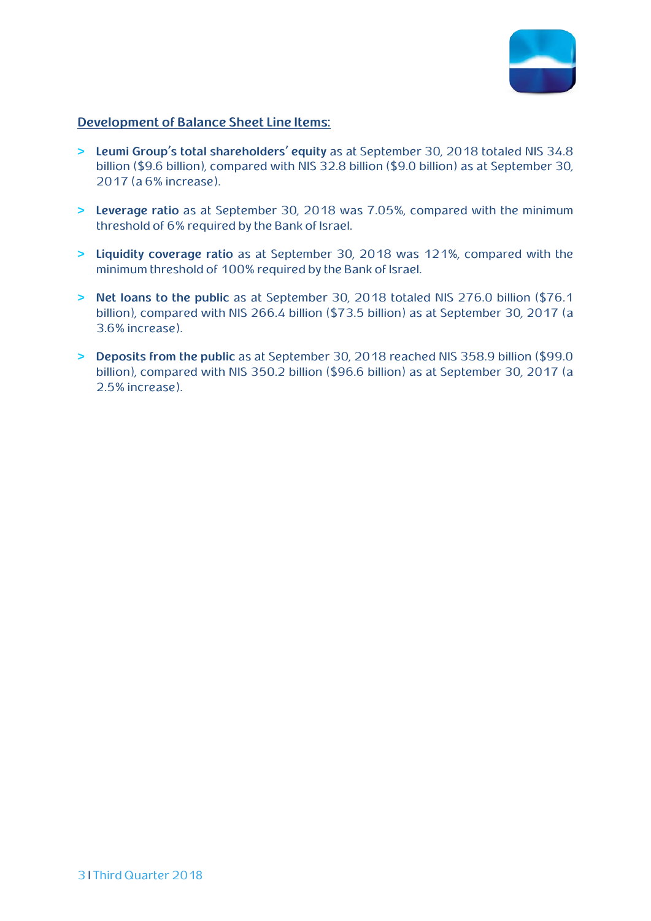

#### *<sup>U</sup>***Development of Balance Sheet Line Items:**

- **> Leumi Group's total shareholders' equity** as at September 30, 2018 totaled NIS 34.8 billion (\$9.6 billion), compared with NIS 32.8 billion (\$9.0 billion) as at September 30, 2017 (a 6% increase).
- **> Leverage ratio** as at September 30, 2018 was 7.05%, compared with the minimum threshold of 6% required by the Bank of Israel.
- **> Liquidity coverage ratio** as at September 30, 2018 was 121%, compared with the minimum threshold of 100% required by the Bank of Israel.
- **> Net loans to the public** as at September 30, 2018 totaled NIS 276.0 billion (\$76.1 billion), compared with NIS 266.4 billion (\$73.5 billion) as at September 30, 2017 (a 3.6% increase).
- **> Deposits from the public** as at September 30, 2018 reached NIS 358.9 billion (\$99.0 billion), compared with NIS 350.2 billion (\$96.6 billion) as at September 30, 2017 (a 2.5% increase).